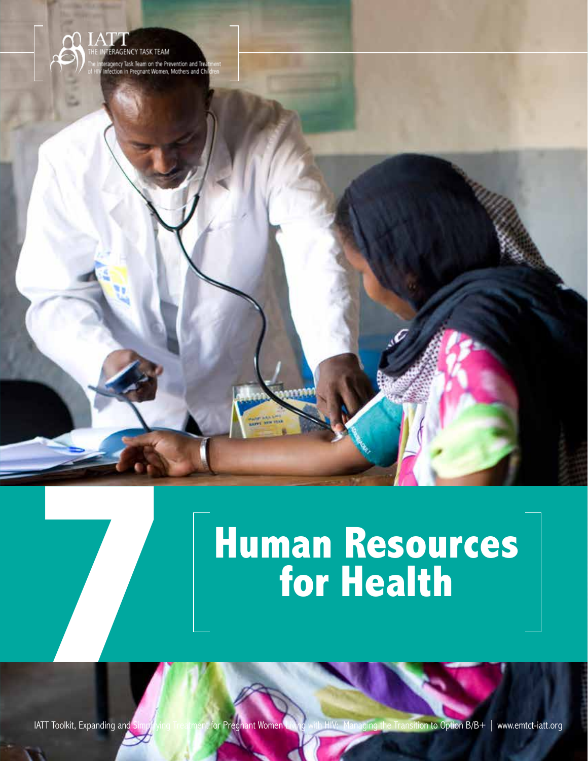

# **Human Resources**<br> **7 for Health**<br>
ATT Tookit, Expanding and

Human Resources for Health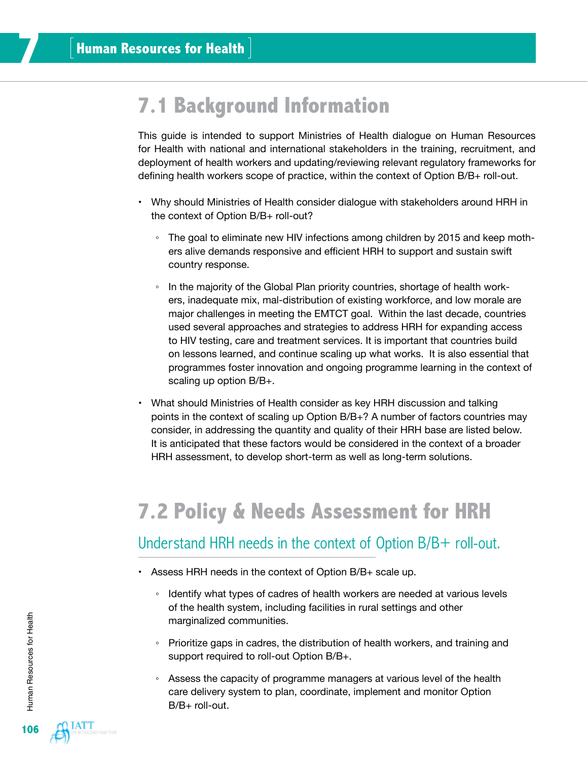# **7.1 Background Information**

This guide is intended to support Ministries of Health dialogue on Human Resources for Health with national and international stakeholders in the training, recruitment, and deployment of health workers and updating/reviewing relevant regulatory frameworks for defining health workers scope of practice, within the context of Option B/B+ roll-out.

- Why should Ministries of Health consider dialogue with stakeholders around HRH in the context of Option B/B+ roll-out?
	- The goal to eliminate new HIV infections among children by 2015 and keep mothers alive demands responsive and efficient HRH to support and sustain swift country response.
	- In the majority of the Global Plan priority countries, shortage of health workers, inadequate mix, mal-distribution of existing workforce, and low morale are major challenges in meeting the EMTCT goal. Within the last decade, countries used several approaches and strategies to address HRH for expanding access to HIV testing, care and treatment services. It is important that countries build on lessons learned, and continue scaling up what works. It is also essential that programmes foster innovation and ongoing programme learning in the context of scaling up option B/B+.
- What should Ministries of Health consider as key HRH discussion and talking points in the context of scaling up Option B/B+? A number of factors countries may consider, in addressing the quantity and quality of their HRH base are listed below. It is anticipated that these factors would be considered in the context of a broader HRH assessment, to develop short-term as well as long-term solutions.

# **7.2 Policy & Needs Assessment for HRH**

### Understand HRH needs in the context of Option B/B+ roll-out.

- Assess HRH needs in the context of Option B/B+ scale up.
	- Identify what types of cadres of health workers are needed at various levels of the health system, including facilities in rural settings and other marginalized communities.
	- Prioritize gaps in cadres, the distribution of health workers, and training and support required to roll-out Option B/B+.
	- Assess the capacity of programme managers at various level of the health care delivery system to plan, coordinate, implement and monitor Option  $B/B+$  roll-out.

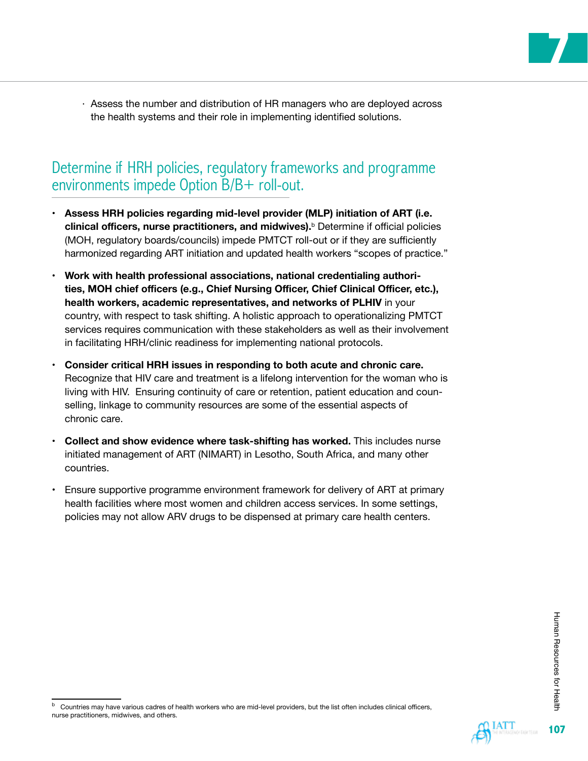

· Assess the number and distribution of HR managers who are deployed across the health systems and their role in implementing identified solutions.

### Determine if HRH policies, regulatory frameworks and programme environments impede Option B/B+ roll-out.

- Assess HRH policies regarding mid-level provider (MLP) initiation of ART (i.e. **clinical officers, nurse practitioners, and midwives).**<sup>b</sup> Determine if official policies (MOH, regulatory boards/councils) impede PMTCT roll-out or if they are sufficiently harmonized regarding ART initiation and updated health workers "scopes of practice."
- **• Work with health professional associations, national credentialing authorities, MOH chief officers (e.g., Chief Nursing Officer, Chief Clinical Officer, etc.), health workers, academic representatives, and networks of PLHIV** in your country, with respect to task shifting. A holistic approach to operationalizing PMTCT services requires communication with these stakeholders as well as their involvement in facilitating HRH/clinic readiness for implementing national protocols.
- **• Consider critical HRH issues in responding to both acute and chronic care.** Recognize that HIV care and treatment is a lifelong intervention for the woman who is living with HIV. Ensuring continuity of care or retention, patient education and counselling, linkage to community resources are some of the essential aspects of chronic care.
- **Collect and show evidence where task-shifting has worked.** This includes nurse initiated management of ART (NIMART) in Lesotho, South Africa, and many other countries.
- Ensure supportive programme environment framework for delivery of ART at primary health facilities where most women and children access services. In some settings, policies may not allow ARV drugs to be dispensed at primary care health centers.

<sup>b</sup> Countries may have various cadres of health workers who are mid-level providers, but the list often includes clinical officers, nurse practitioners, midwives, and others.

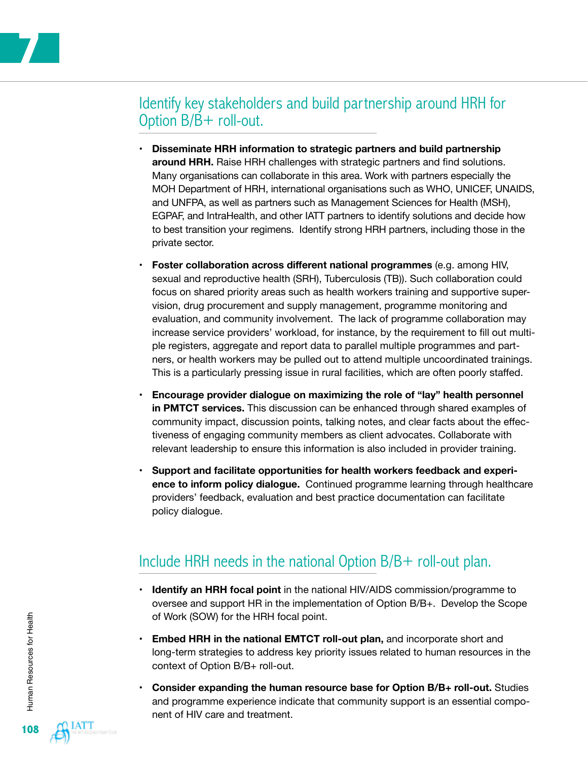

## Identify key stakeholders and build partnership around HRH for Option B/B+ roll-out.

- **Disseminate HRH information to strategic partners and build partnership around HRH.** Raise HRH challenges with strategic partners and find solutions. Many organisations can collaborate in this area. Work with partners especially the MOH Department of HRH, international organisations such as WHO, UNICEF, UNAIDS, and UNFPA, as well as partners such as Management Sciences for Health (MSH), EGPAF, and IntraHealth, and other IATT partners to identify solutions and decide how to best transition your regimens. Identify strong HRH partners, including those in the private sector.
- **Foster collaboration across different national programmes (e.g. among HIV,** sexual and reproductive health (SRH), Tuberculosis (TB)). Such collaboration could focus on shared priority areas such as health workers training and supportive supervision, drug procurement and supply management, programme monitoring and evaluation, and community involvement. The lack of programme collaboration may increase service providers' workload, for instance, by the requirement to fill out multiple registers, aggregate and report data to parallel multiple programmes and partners, or health workers may be pulled out to attend multiple uncoordinated trainings. This is a particularly pressing issue in rural facilities, which are often poorly staffed.
- **Encourage provider dialogue on maximizing the role of "lay" health personnel in PMTCT services.** This discussion can be enhanced through shared examples of community impact, discussion points, talking notes, and clear facts about the effectiveness of engaging community members as client advocates. Collaborate with relevant leadership to ensure this information is also included in provider training.
- Support and facilitate opportunities for health workers feedback and experi**ence to inform policy dialogue.** Continued programme learning through healthcare providers' feedback, evaluation and best practice documentation can facilitate policy dialogue.

## Include HRH needs in the national Option B/B+ roll-out plan.

- **Identify an HRH focal point** in the national HIV/AIDS commission/programme to oversee and support HR in the implementation of Option B/B+. Develop the Scope of Work (SOW) for the HRH focal point.
- **Embed HRH in the national EMTCT roll-out plan,** and incorporate short and long-term strategies to address key priority issues related to human resources in the context of Option B/B+ roll-out.
- **• Consider expanding the human resource base for Option B/B+ roll-out.** Studies and programme experience indicate that community support is an essential component of HIV care and treatment.

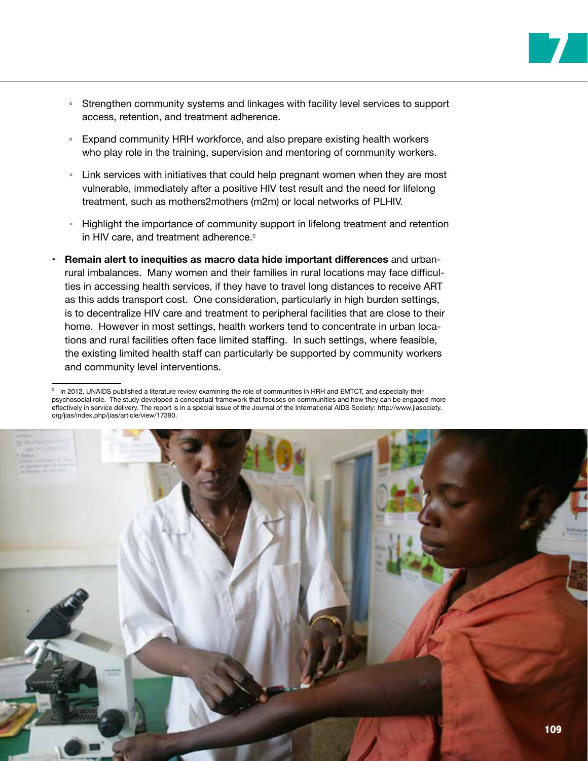◦ Strengthen community systems and linkages with facility level services to support access, retention, and treatment adherence.

**7**

- Expand community HRH workforce, and also prepare existing health workers who play role in the training, supervision and mentoring of community workers.
- Link services with initiatives that could help pregnant women when they are most vulnerable, immediately after a positive HIV test result and the need for lifelong treatment, such as mothers2mothers (m2m) or local networks of PLHIV.
- Highlight the importance of community support in lifelong treatment and retention in HIV care, and treatment adherence.<sup>c</sup>
- **• Remain alert to inequities as macro data hide important differences** and urbanrural imbalances. Many women and their families in rural locations may face difficulties in accessing health services, if they have to travel long distances to receive ART as this adds transport cost. One consideration, particularly in high burden settings, is to decentralize HIV care and treatment to peripheral facilities that are close to their home. However in most settings, health workers tend to concentrate in urban locations and rural facilities often face limited staffing. In such settings, where feasible, the existing limited health staff can particularly be supported by community workers and community level interventions.

c In 2012, UNAIDS published a literature review examining the role of communities in HRH and EMTCT, and especially their psychosocial role. The study developed a conceptual framework that focuses on communities and how they can be engaged more effectively in service delivery. The report is in a special issue of the Journal of the International AIDS Society: [http://www.jiasociety.](http://www.jiasociety.org/jias/index.php/jias/article/view/17390) [org/jias/index.php/jias/article/view/17390.](http://www.jiasociety.org/jias/index.php/jias/article/view/17390)

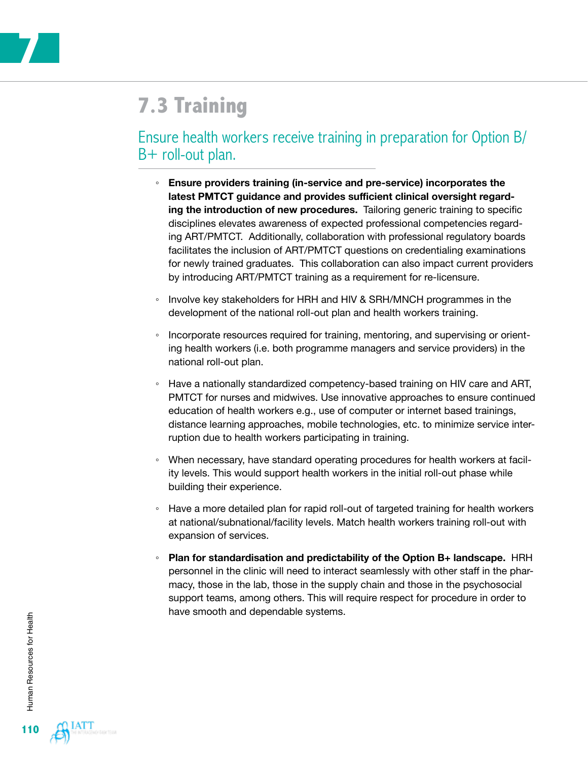

# **7.3 Training**

### Ensure health workers receive training in preparation for Option B/ B+ roll-out plan.

- **Ensure providers training (in-service and pre-service) incorporates the latest PMTCT guidance and provides sufficient clinical oversight regarding the introduction of new procedures.** Tailoring generic training to specific disciplines elevates awareness of expected professional competencies regarding ART/PMTCT. Additionally, collaboration with professional regulatory boards facilitates the inclusion of ART/PMTCT questions on credentialing examinations for newly trained graduates. This collaboration can also impact current providers by introducing ART/PMTCT training as a requirement for re-licensure.
- Involve key stakeholders for HRH and HIV & SRH/MNCH programmes in the development of the national roll-out plan and health workers training.
- Incorporate resources required for training, mentoring, and supervising or orienting health workers (i.e. both programme managers and service providers) in the national roll-out plan.
- Have a nationally standardized competency-based training on HIV care and ART, PMTCT for nurses and midwives. Use innovative approaches to ensure continued education of health workers e.g., use of computer or internet based trainings, distance learning approaches, mobile technologies, etc. to minimize service interruption due to health workers participating in training.
- When necessary, have standard operating procedures for health workers at facility levels. This would support health workers in the initial roll-out phase while building their experience.
- Have a more detailed plan for rapid roll-out of targeted training for health workers at national/subnational/facility levels. Match health workers training roll-out with expansion of services.
- **Plan for standardisation and predictability of the Option B+ landscape.** HRH personnel in the clinic will need to interact seamlessly with other staff in the pharmacy, those in the lab, those in the supply chain and those in the psychosocial support teams, among others. This will require respect for procedure in order to have smooth and dependable systems.